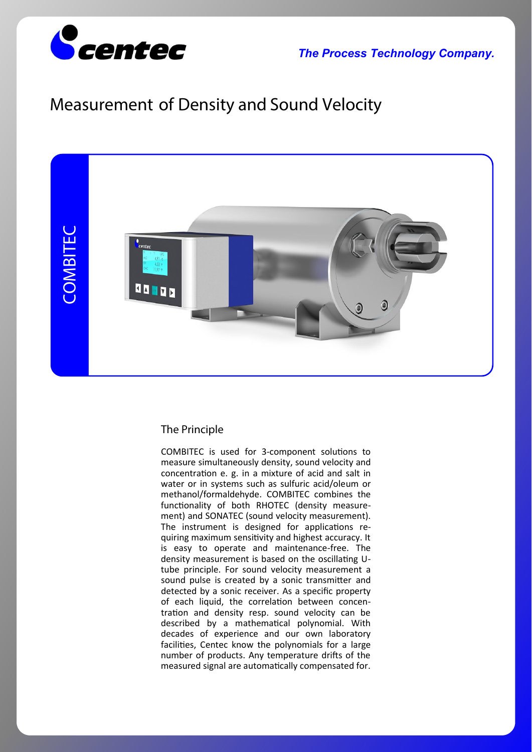

*The Process Technology Company.*

# **Measurement of Density and Sound Velocity**



#### **The Principle**

COMBITEC is used for 3-component solutions to measure simultaneously density, sound velocity and concentration e. g. in a mixture of acid and salt in water or in systems such as sulfuric acid/oleum or methanol/formaldehyde. COMBITEC combines the functionality of both RHOTEC (density measurement) and SONATEC (sound velocity measurement). The instrument is designed for applications requiring maximum sensitivity and highest accuracy. It is easy to operate and maintenance-free. The density measurement is based on the oscillating Utube principle. For sound velocity measurement a sound pulse is created by a sonic transmitter and detected by a sonic receiver. As a specific property of each liquid, the correlation between concentration and density resp. sound velocity can be described by a mathema�cal polynomial. With decades of experience and our own laboratory facilities, Centec know the polynomials for a large number of products. Any temperature drifts of the measured signal are automatically compensated for.